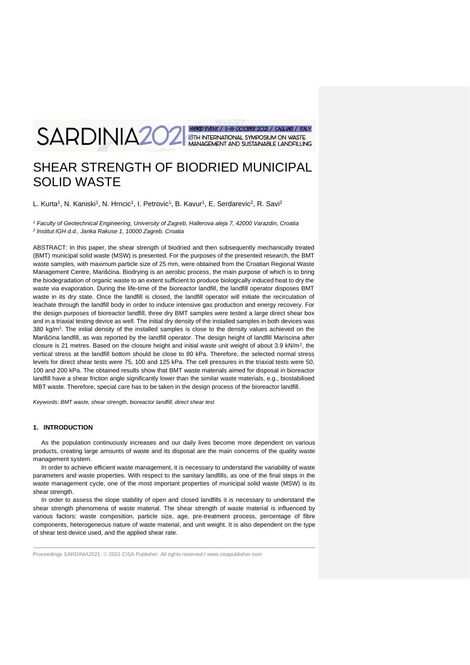# HYBRID EVENT / 11-15 OCTOBER 2021 / CAQUARI / ITALY<br>FOTH INTERNATIONAL SYMPOSIUM ON WASTE<br>MANAGEMENT AND SUSTAINABLE LANDFILLING SARDINIA<sub>202</sub>

## SHEAR STRENGTH OF BIODRIED MUNICIPAL SOLID WASTE

L. Kurta<sup>1</sup>, N. Kaniski<sup>1</sup>, N. Hrncic<sup>1</sup>, I. Petrovic<sup>1</sup>, B. Kavur<sup>1</sup>, E. Serdarevic<sup>2</sup>, R. Savi<sup>2</sup>

*<sup>1</sup> Faculty of Geotechnical Engineering, University of Zagreb, Hallerova aleja 7, 42000 Varazdin, Croatia 2 Institut IGH d.d., Janka Rakuse 1, 10000 Zagreb, Croatia*

ABSTRACT: In this paper, the shear strength of biodried and then subsequently mechanically treated (BMT) municipal solid waste (MSW) is presented. For the purposes of the presented research, the BMT waste samples, with maximum particle size of 25 mm, were obtained from the Croatian Regional Waste Management Centre, Marišćina. Biodrying is an aerobic process, the main purpose of which is to bring the biodegradation of organic waste to an extent sufficient to produce biologically induced heat to dry the waste via evaporation. During the life-time of the bioreactor landfill, the landfill operator disposes BMT waste in its dry state. Once the landfill is closed, the landfill operator will initiate the recirculation of leachate through the landfill body in order to induce intensive gas production and energy recovery. For the design purposes of bioreactor landfill, three dry BMT samples were tested a large direct shear box and in a triaxial testing device as well. The initial dry density of the installed samples in both devices was 380 kg/m<sup>3</sup>. The initial density of the installed samples is close to the density values achieved on the Marišćina landfill, as was reported by the landfill operator. The design height of landfill Mariscina after closure is 21 metres. Based on the closure height and initial waste unit weight of about 3.9 kN/m<sup>2</sup>, the vertical stress at the landfill bottom should be close to 80 kPa. Therefore, the selected normal stress levels for direct shear tests were 75, 100 and 125 kPa. The cell pressures in the triaxial tests were 50, 100 and 200 kPa. The obtained results show that BMT waste materials aimed for disposal in bioreactor landfill have a shear friction angle significantly lower than the similar waste materials, e.g., biostabilised MBT waste. Therefore, special care has to be taken in the design process of the bioreactor landfill.

*Keywords: BMT waste, shear strength, bioreactor landfill, direct shear test*

## **1. INTRODUCTION**

As the population continuously increases and our daily lives become more dependent on various products, creating large amounts of waste and its disposal are the main concerns of the quality waste management system.

In order to achieve efficient waste management, it is necessary to understand the variability of waste parameters and waste properties. With respect to the sanitary landfills, as one of the final steps in the waste management cycle, one of the most important properties of municipal solid waste (MSW) is its shear strength

In order to assess the slope stability of open and closed landfills it is necessary to understand the shear strength phenomena of waste material. The shear strength of waste material is influenced by various factors: waste composition, particle size, age, pre-treatment process, percentage of fibre components, heterogeneous nature of waste material, and unit weight. It is also dependent on the type of shear test device used, and the applied shear rate.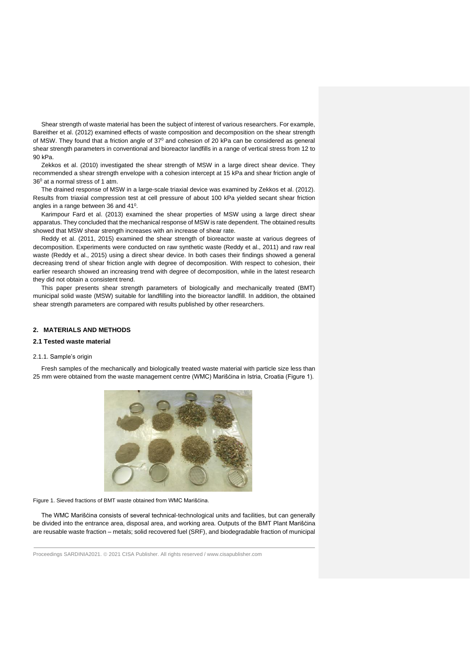Shear strength of waste material has been the subject of interest of various researchers. For example, Bareither et al. (2012) examined effects of waste composition and decomposition on the shear strength of MSW. They found that a friction angle of 37<sup>0</sup> and cohesion of 20 kPa can be considered as general shear strength parameters in conventional and bioreactor landfills in a range of vertical stress from 12 to 90 kPa.

Zekkos et al. (2010) investigated the shear strength of MSW in a large direct shear device. They recommended a shear strength envelope with a cohesion intercept at 15 kPa and shear friction angle of 36<sup>0</sup> at a normal stress of 1 atm.

The drained response of MSW in a large-scale triaxial device was examined by Zekkos et al. (2012). Results from triaxial compression test at cell pressure of about 100 kPa yielded secant shear friction angles in a range between 36 and 41<sup>0</sup>.

Karimpour Fard et al. (2013) examined the shear properties of MSW using a large direct shear apparatus. They concluded that the mechanical response of MSW is rate dependent. The obtained results showed that MSW shear strength increases with an increase of shear rate.

Reddy et al. (2011, 2015) examined the shear strength of bioreactor waste at various degrees of decomposition. Experiments were conducted on raw synthetic waste (Reddy et al., 2011) and raw real waste (Reddy et al., 2015) using a direct shear device. In both cases their findings showed a general decreasing trend of shear friction angle with degree of decomposition. With respect to cohesion, their earlier research showed an increasing trend with degree of decomposition, while in the latest research they did not obtain a consistent trend.

This paper presents shear strength parameters of biologically and mechanically treated (BMT) municipal solid waste (MSW) suitable for landfilling into the bioreactor landfill. In addition, the obtained shear strength parameters are compared with results published by other researchers.

## **2. MATERIALS AND METHODS**

## **2.1 Tested waste material**

#### 2.1.1. Sample's origin

Fresh samples of the mechanically and biologically treated waste material with particle size less than 25 mm were obtained from the waste management centre (WMC) Marišćina in Istria, Croatia (Figure 1).



Figure 1. Sieved fractions of BMT waste obtained from WMC Marišćina.

The WMC Marišćina consists of several technical-technological units and facilities, but can generally be divided into the entrance area, disposal area, and working area. Outputs of the BMT Plant Marišćina are reusable waste fraction – metals; solid recovered fuel (SRF), and biodegradable fraction of municipal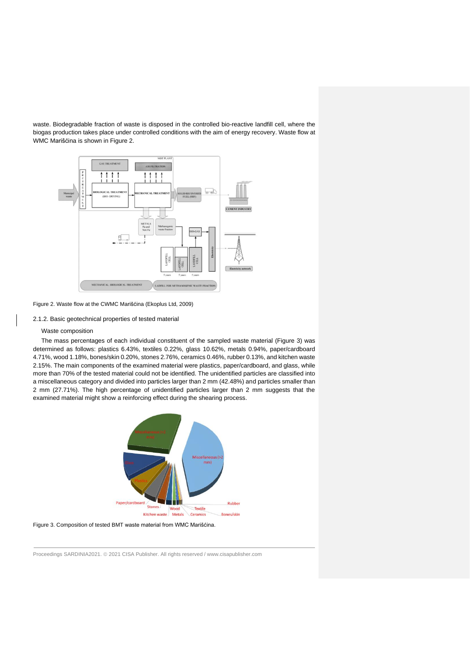waste. Biodegradable fraction of waste is disposed in the controlled bio-reactive landfill cell, where the biogas production takes place under controlled conditions with the aim of energy recovery. Waste flow at WMC Marišćina is shown in Figure 2.



#### Figure 2. Waste flow at the CWMC Marišćina (Ekoplus Ltd, 2009)

#### 2.1.2. Basic geotechnical properties of tested material

#### Waste composition

The mass percentages of each individual constituent of the sampled waste material (Figure 3) was determined as follows: plastics 6.43%, textiles 0.22%, glass 10.62%, metals 0.94%, paper/cardboard 4.71%, wood 1.18%, bones/skin 0.20%, stones 2.76%, ceramics 0.46%, rubber 0.13%, and kitchen waste 2.15%. The main components of the examined material were plastics, paper/cardboard, and glass, while more than 70% of the tested material could not be identified. The unidentified particles are classified into a miscellaneous category and divided into particles larger than 2 mm (42.48%) and particles smaller than 2 mm (27.71%). The high percentage of unidentified particles larger than 2 mm suggests that the examined material might show a reinforcing effect during the shearing process.



Figure 3. Composition of tested BMT waste material from WMC Marišćina.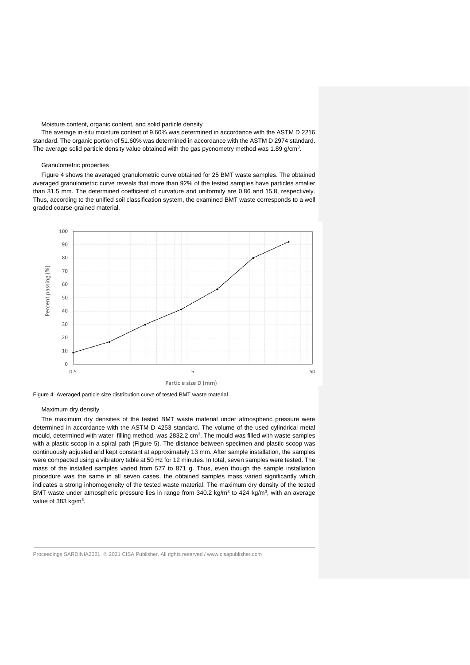Moisture content, organic content, and solid particle density

The average in-situ moisture content of 9.60% was determined in accordance with the ASTM D 2216 standard. The organic portion of 51.60% was determined in accordance with the ASTM D 2974 standard. The average solid particle density value obtained with the gas pycnometry method was 1.89 g/cm<sup>3</sup>.

#### Granulometric properties

Figure 4 shows the averaged granulometric curve obtained for 25 BMT waste samples. The obtained averaged granulometric curve reveals that more than 92% of the tested samples have particles smaller than 31.5 mm. The determined coefficient of curvature and uniformity are 0.86 and 15.8, respectively. Thus, according to the unified soil classification system, the examined BMT waste corresponds to a well graded coarse-grained material.



Figure 4. Averaged particle size distribution curve of tested BMT waste material

#### Maximum dry density

The maximum dry densities of the tested BMT waste material under atmospheric pressure were determined in accordance with the ASTM D 4253 standard. The volume of the used cylindrical metal mould, determined with water–filling method, was 2832.2  $cm<sup>3</sup>$ . The mould was filled with waste samples with a plastic scoop in a spiral path (Figure 5). The distance between specimen and plastic scoop was continuously adjusted and kept constant at approximately 13 mm. After sample installation, the samples were compacted using a vibratory table at 50 Hz for 12 minutes. In total, seven samples were tested. The mass of the installed samples varied from 577 to 871 g. Thus, even though the sample installation procedure was the same in all seven cases, the obtained samples mass varied significantly which indicates a strong inhomogeneity of the tested waste material. The maximum dry density of the tested BMT waste under atmospheric pressure lies in range from 340.2 kg/m<sup>3</sup> to 424 kg/m<sup>3</sup>, with an average value of 383 kg/m<sup>3</sup>.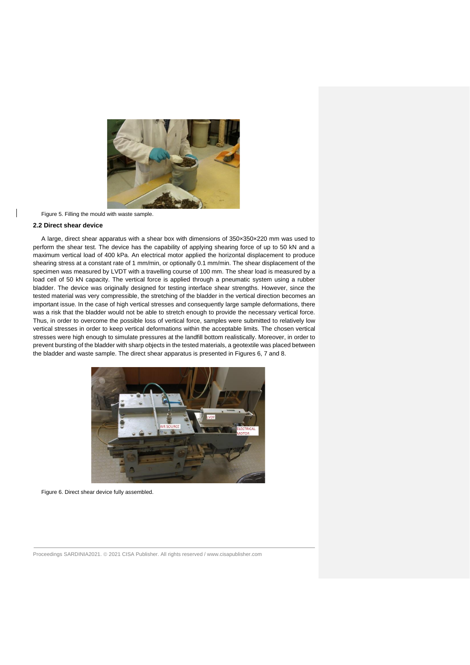

Figure 5. Filling the mould with waste sample.

## **2.2 Direct shear device**

A large, direct shear apparatus with a shear box with dimensions of 350×350×220 mm was used to perform the shear test. The device has the capability of applying shearing force of up to 50 kN and a maximum vertical load of 400 kPa. An electrical motor applied the horizontal displacement to produce shearing stress at a constant rate of 1 mm/min, or optionally 0.1 mm/min. The shear displacement of the specimen was measured by LVDT with a travelling course of 100 mm. The shear load is measured by a load cell of 50 kN capacity. The vertical force is applied through a pneumatic system using a rubber bladder. The device was originally designed for testing interface shear strengths. However, since the tested material was very compressible, the stretching of the bladder in the vertical direction becomes an important issue. In the case of high vertical stresses and consequently large sample deformations, there was a risk that the bladder would not be able to stretch enough to provide the necessary vertical force. Thus, in order to overcome the possible loss of vertical force, samples were submitted to relatively low vertical stresses in order to keep vertical deformations within the acceptable limits. The chosen vertical stresses were high enough to simulate pressures at the landfill bottom realistically. Moreover, in order to prevent bursting of the bladder with sharp objects in the tested materials, a geotextile was placed between the bladder and waste sample. The direct shear apparatus is presented in Figures 6, 7 and 8.



Figure 6. Direct shear device fully assembled.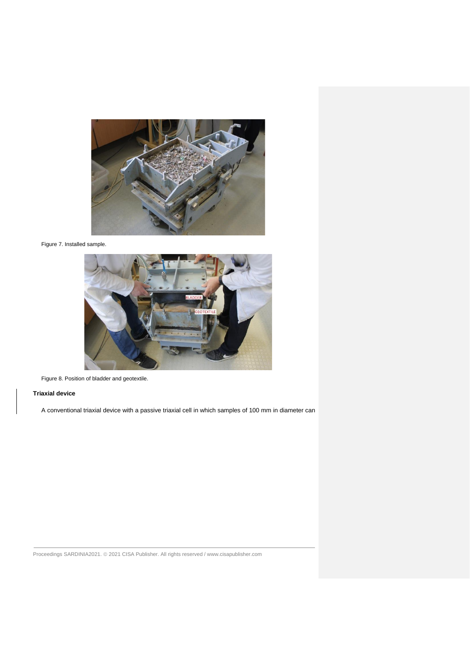

Figure 7. Installed sample.



Figure 8. Position of bladder and geotextile.

## **Triaxial device**

A conventional triaxial device with a passive triaxial cell in which samples of 100 mm in diameter can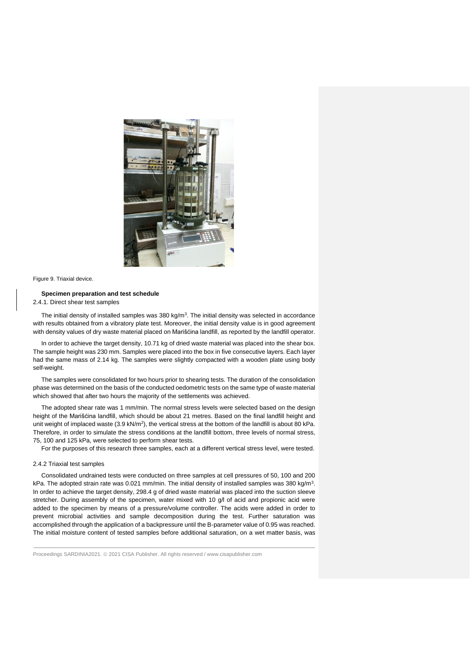

Figure 9. Triaxial device.

#### **Specimen preparation and test schedule**

2.4.1. Direct shear test samples

The initial density of installed samples was 380 kg/m<sup>3</sup>. The initial density was selected in accordance with results obtained from a vibratory plate test. Moreover, the initial density value is in good agreement with density values of dry waste material placed on Marišćina landfill, as reported by the landfill operator.

In order to achieve the target density, 10.71 kg of dried waste material was placed into the shear box. The sample height was 230 mm. Samples were placed into the box in five consecutive layers. Each layer had the same mass of 2.14 kg. The samples were slightly compacted with a wooden plate using body self-weight.

The samples were consolidated for two hours prior to shearing tests. The duration of the consolidation phase was determined on the basis of the conducted oedometric tests on the same type of waste material which showed that after two hours the majority of the settlements was achieved.

The adopted shear rate was 1 mm/min. The normal stress levels were selected based on the design height of the Marišćina landfill, which should be about 21 metres. Based on the final landfill height and unit weight of implaced waste  $(3.9 \text{ kN/m}^2)$ , the vertical stress at the bottom of the landfill is about 80 kPa. Therefore, in order to simulate the stress conditions at the landfill bottom, three levels of normal stress, 75, 100 and 125 kPa, were selected to perform shear tests.

For the purposes of this research three samples, each at a different vertical stress level, were tested.

## 2.4.2 Triaxial test samples

Consolidated undrained tests were conducted on three samples at cell pressures of 50, 100 and 200 kPa. The adopted strain rate was 0.021 mm/min. The initial density of installed samples was 380 kg/m<sup>3</sup>. In order to achieve the target density, 298.4 g of dried waste material was placed into the suction sleeve stretcher. During assembly of the specimen, water mixed with 10 g/l of acid and propionic acid were added to the specimen by means of a pressure/volume controller. The acids were added in order to prevent microbial activities and sample decomposition during the test. Further saturation was accomplished through the application of a backpressure until the B-parameter value of 0.95 was reached. The initial moisture content of tested samples before additional saturation, on a wet matter basis, was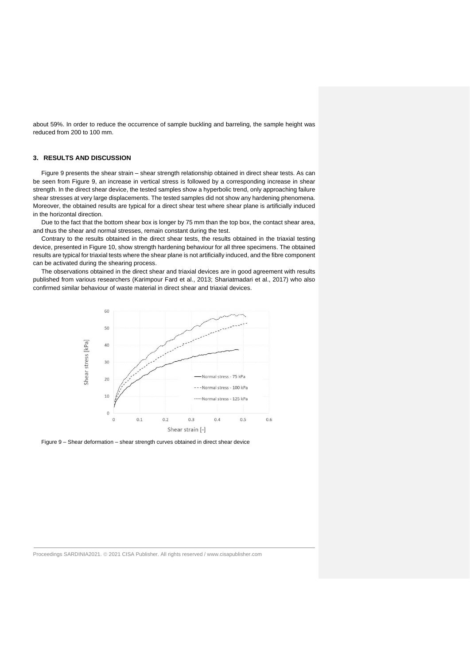about 59%. In order to reduce the occurrence of sample buckling and barreling, the sample height was reduced from 200 to 100 mm.

## **3. RESULTS AND DISCUSSION**

Figure 9 presents the shear strain – shear strength relationship obtained in direct shear tests. As can be seen from Figure 9, an increase in vertical stress is followed by a corresponding increase in shear strength. In the direct shear device, the tested samples show a hyperbolic trend, only approaching failure shear stresses at very large displacements. The tested samples did not show any hardening phenomena. Moreover, the obtained results are typical for a direct shear test where shear plane is artificially induced in the horizontal direction.

Due to the fact that the bottom shear box is longer by 75 mm than the top box, the contact shear area, and thus the shear and normal stresses, remain constant during the test.

Contrary to the results obtained in the direct shear tests, the results obtained in the triaxial testing device, presented in Figure 10, show strength hardening behaviour for all three specimens. The obtained results are typical for triaxial tests where the shear plane is not artificially induced, and the fibre component can be activated during the shearing process.

The observations obtained in the direct shear and triaxial devices are in good agreement with results published from various researchers (Karimpour Fard et al., 2013; Shariatmadari et al., 2017) who also confirmed similar behaviour of waste material in direct shear and triaxial devices.



Figure 9 – Shear deformation – shear strength curves obtained in direct shear device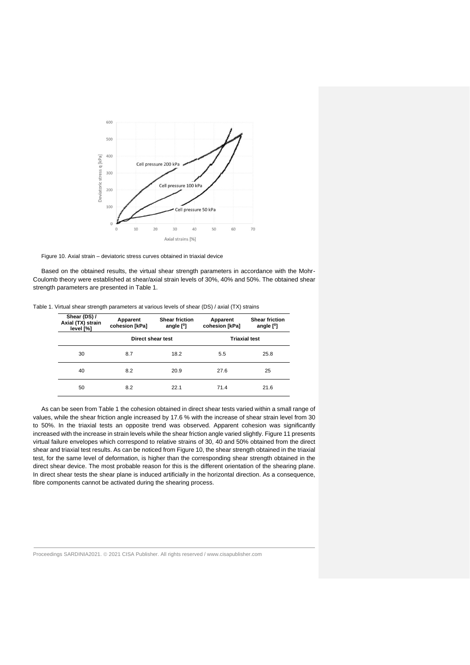

Figure 10. Axial strain – deviatoric stress curves obtained in triaxial device

Based on the obtained results, the virtual shear strength parameters in accordance with the Mohr-Coulomb theory were established at shear/axial strain levels of 30%, 40% and 50%. The obtained shear strength parameters are presented in Table 1.

Table 1. Virtual shear strength parameters at various levels of shear (DS) / axial (TX) strains

| Shear (DS) /<br>Axial (TX) strain<br>level [%] | Apparent<br>cohesion [kPa] | <b>Shear friction</b><br>angle $[°]$ | Apparent<br>cohesion [kPa] | <b>Shear friction</b><br>angle $[°]$ |
|------------------------------------------------|----------------------------|--------------------------------------|----------------------------|--------------------------------------|
|                                                | Direct shear test          |                                      | <b>Triaxial test</b>       |                                      |
| 30                                             | 8.7                        | 18.2                                 | 5.5                        | 25.8                                 |
| 40                                             | 8.2                        | 20.9                                 | 27.6                       | 25                                   |
| 50                                             | 8.2                        | 22.1                                 | 71.4                       | 21.6                                 |

As can be seen from Table 1 the cohesion obtained in direct shear tests varied within a small range of values, while the shear friction angle increased by 17.6 % with the increase of shear strain level from 30 to 50%. In the triaxial tests an opposite trend was observed. Apparent cohesion was significantly increased with the increase in strain levels while the shear friction angle varied slightly. Figure 11 presents virtual failure envelopes which correspond to relative strains of 30, 40 and 50% obtained from the direct shear and triaxial test results. As can be noticed from Figure 10, the shear strength obtained in the triaxial test, for the same level of deformation, is higher than the corresponding shear strength obtained in the direct shear device. The most probable reason for this is the different orientation of the shearing plane. In direct shear tests the shear plane is induced artificially in the horizontal direction. As a consequence, fibre components cannot be activated during the shearing process.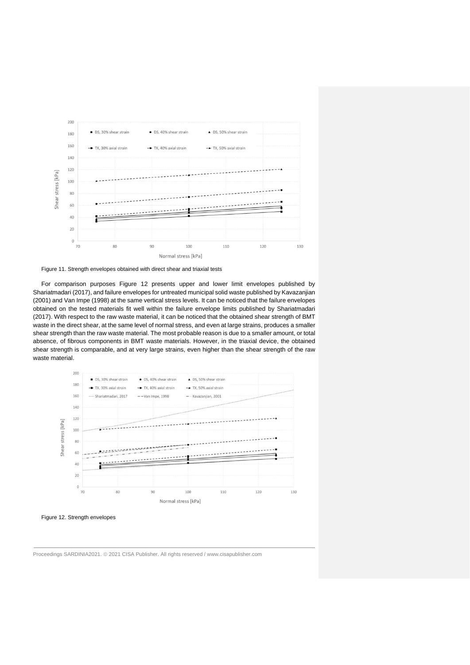

Figure 11. Strength envelopes obtained with direct shear and triaxial tests

For comparison purposes Figure 12 presents upper and lower limit envelopes published by Shariatmadari (2017), and failure envelopes for untreated municipal solid waste published by Kavazanjian (2001) and Van Impe (1998) at the same vertical stress levels. It can be noticed that the failure envelopes obtained on the tested materials fit well within the failure envelope limits published by Shariatmadari (2017). With respect to the raw waste material, it can be noticed that the obtained shear strength of BMT waste in the direct shear, at the same level of normal stress, and even at large strains, produces a smaller shear strength than the raw waste material. The most probable reason is due to a smaller amount, or total absence, of fibrous components in BMT waste materials. However, in the triaxial device, the obtained shear strength is comparable, and at very large strains, even higher than the shear strength of the raw waste material.



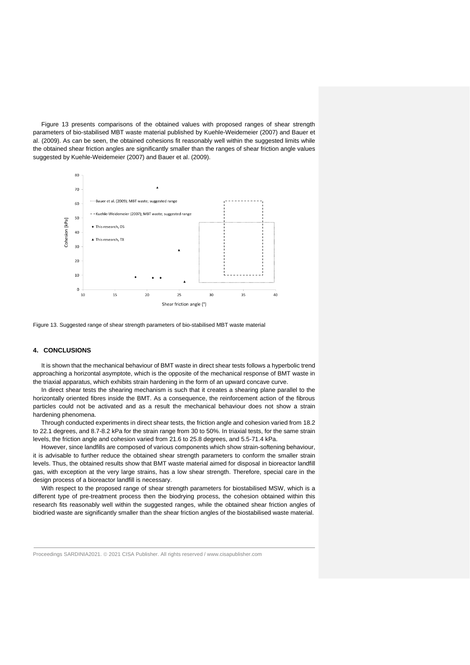Figure 13 presents comparisons of the obtained values with proposed ranges of shear strength parameters of bio-stabilised MBT waste material published by Kuehle-Weidemeier (2007) and Bauer et al. (2009). As can be seen, the obtained cohesions fit reasonably well within the suggested limits while the obtained shear friction angles are significantly smaller than the ranges of shear friction angle values suggested by Kuehle-Weidemeier (2007) and Bauer et al. (2009).



Figure 13. Suggested range of shear strength parameters of bio-stabilised MBT waste material

### **4. CONCLUSIONS**

It is shown that the mechanical behaviour of BMT waste in direct shear tests follows a hyperbolic trend approaching a horizontal asymptote, which is the opposite of the mechanical response of BMT waste in the triaxial apparatus, which exhibits strain hardening in the form of an upward concave curve.

In direct shear tests the shearing mechanism is such that it creates a shearing plane parallel to the horizontally oriented fibres inside the BMT. As a consequence, the reinforcement action of the fibrous particles could not be activated and as a result the mechanical behaviour does not show a strain hardening phenomena.

Through conducted experiments in direct shear tests, the friction angle and cohesion varied from 18.2 to 22.1 degrees, and 8.7-8.2 kPa for the strain range from 30 to 50%. In triaxial tests, for the same strain levels, the friction angle and cohesion varied from 21.6 to 25.8 degrees, and 5.5-71.4 kPa.

However, since landfills are composed of various components which show strain-softening behaviour, it is advisable to further reduce the obtained shear strength parameters to conform the smaller strain levels. Thus, the obtained results show that BMT waste material aimed for disposal in bioreactor landfill gas, with exception at the very large strains, has a low shear strength. Therefore, special care in the design process of a bioreactor landfill is necessary.

With respect to the proposed range of shear strength parameters for biostabilised MSW, which is a different type of pre-treatment process then the biodrying process, the cohesion obtained within this research fits reasonably well within the suggested ranges, while the obtained shear friction angles of biodried waste are significantly smaller than the shear friction angles of the biostabilised waste material.